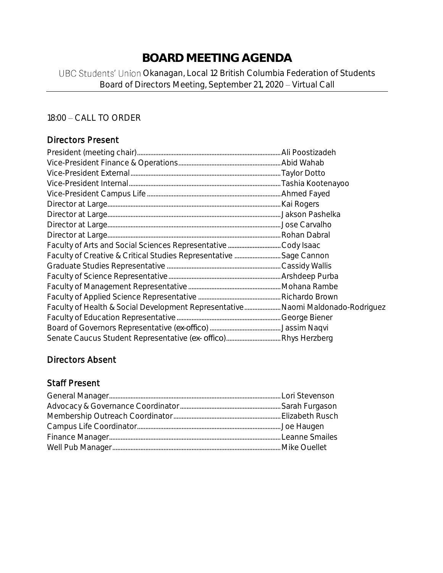# **BOARD MEETING AGENDA**

## UBC Students' Union Okanagan, Local 12 British Columbia Federation of Students Board of Directors Meeting, September 21, 2020 - Virtual Call

#### 18:00 - CALL TO ORDER

## Directors Present

| Faculty of Health & Social Development Representative Naomi Maldonado-Rodriguez |  |
|---------------------------------------------------------------------------------|--|
|                                                                                 |  |
|                                                                                 |  |
|                                                                                 |  |

## Directors Absent

## Staff Present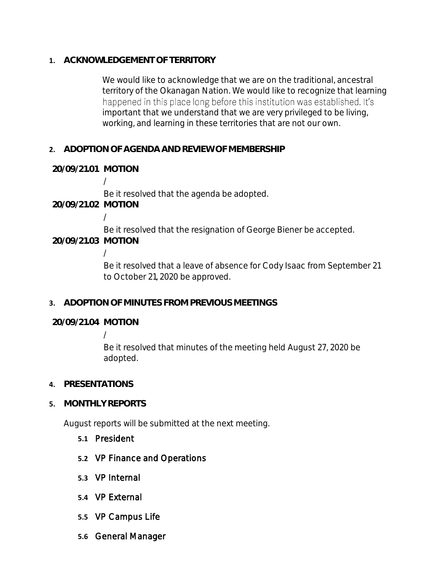**1. ACKNOWLEDGEMENT OF TERRITORY**

We would like to acknowledge that we are on the traditional, ancestral territory of the Okanagan Nation. We would like to recognize that learning happened in this place long before this institution was established. It's important that we understand that we are very privileged to be living, working, and learning in these territories that are not our own.

- **2. ADOPTION OF AGENDA AND REVIEW OF MEMBERSHIP**
- **20/09/21.01 MOTION**

/

Be it resolved that the agenda be adopted.

**20/09/21.02 MOTION**

/

Be it resolved that the resignation of George Biener be accepted. **20/09/21.03 MOTION**

/

Be it resolved that a leave of absence for Cody Isaac from September 21 to October 21, 2020 be approved.

**3. ADOPTION OF MINUTES FROM PREVIOUS MEETINGS**

**20/09/21.04 MOTION**

/

Be it resolved that minutes of the meeting held August 27, 2020 be adopted.

- **4. PRESENTATIONS**
- **5. MONTHLY REPORTS**

August reports will be submitted at the next meeting.

- **5.1** President
- **5.2** VP Finance and Operations
- **5.3** VP Internal
- **5.4** VP External
- **5.5** VP Campus Life
- **5.6** General Manager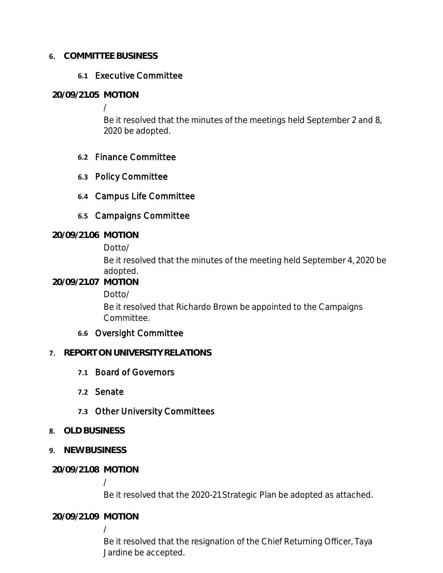#### **6. COMMITTEE BUSINESS**

#### **6.1** Executive Committee

#### **20/09/21.05 MOTION**

/

Be it resolved that the minutes of the meetings held September 2 and 8, 2020 be adopted.

#### **6.2** Finance Committee

**6.3** Policy Committee

## **6.4** Campus Life Committee

## **6.5** Campaigns Committee

#### **20/09/21.06 MOTION**

Dotto/

Be it resolved that the minutes of the meeting held September 4, 2020 be adopted.

#### **20/09/21.07 MOTION**

Dotto/

Be it resolved that Richardo Brown be appointed to the Campaigns Committee.

## **6.6** Oversight Committee

## **7. REPORT ON UNIVERSITY RELATIONS**

- **7.1** Board of Governors
- **7.2** Senate

## **7.3** Other University Committees

- **8. OLD BUSINESS**
- **9. NEW BUSINESS**
- **20/09/21.08 MOTION**

/

Be it resolved that the 2020-21 Strategic Plan be adopted as attached.

## **20/09/21.09 MOTION**

/

Be it resolved that the resignation of the Chief Returning Officer, Taya Jardine be accepted.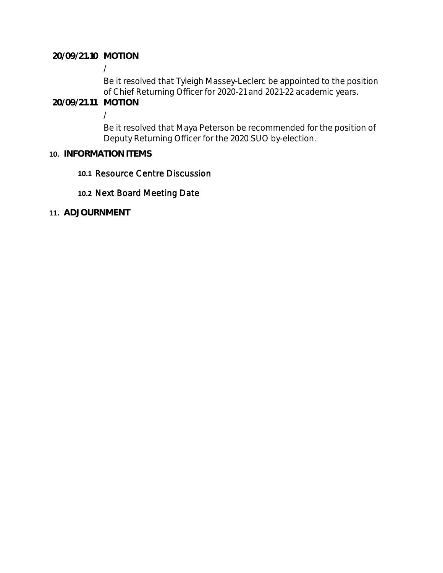#### **20/09/21.10 MOTION**

/

Be it resolved that Tyleigh Massey-Leclerc be appointed to the position of Chief Returning Officer for 2020-21 and 2021-22 academic years.

**20/09/21.11 MOTION**

/

Be it resolved that Maya Peterson be recommended for the position of Deputy Returning Officer for the 2020 SUO by-election.

#### **10. INFORMATION ITEMS**

#### **10.1** Resource Centre Discussion

#### **10.2** Next Board Meeting Date

**11. ADJOURNMENT**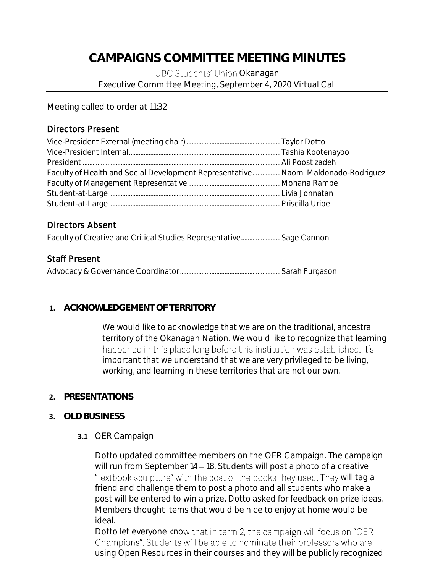## **CAMPAIGNS COMMITTEE MEETING MINUTES**

UBC Students' Union Okanagan Executive Committee Meeting, September 4, 2020 Virtual Call

Meeting called to order at 11:32

## Directors Present

| Faculty of Health and Social Development Representative Naomi Maldonado-Rodriguez |  |
|-----------------------------------------------------------------------------------|--|
|                                                                                   |  |
|                                                                                   |  |
|                                                                                   |  |

## Directors Absent

Faculty of Creative and Critical Studies Representative......................... Sage Cannon

## Staff Present

## **1. ACKNOWLEDGEMENT OF TERRITORY**

We would like to acknowledge that we are on the traditional, ancestral territory of the Okanagan Nation. We would like to recognize that learning happened in this place long before this institution was established. It's important that we understand that we are very privileged to be living, working, and learning in these territories that are not our own.

## **2. PRESENTATIONS**

#### **3. OLD BUSINESS**

#### **3.1** OER Campaign

Dotto updated committee members on the OER Campaign. The campaign will run from September  $14 - 18$ . Students will post a photo of a creative "textbook sculpture" with the cost of the books they used. They will tag a friend and challenge them to post a photo and all students who make a post will be entered to win a prize. Dotto asked for feedback on prize ideas. Members thought items that would be nice to enjoy at home would be ideal.

Dotto let everyone know that in term 2, the campaign will focus on "OER Champions". Students will be able to nominate their professors who are using Open Resources in their courses and they will be publicly recognized